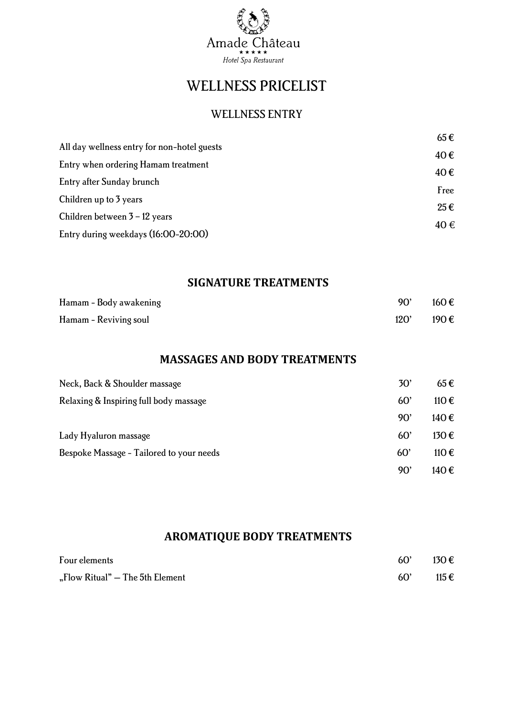

# WELLNESS PRICELIST

# WELLNESS ENTRY

|                                             | $65 \in$ |  |
|---------------------------------------------|----------|--|
| All day wellness entry for non-hotel guests | 40€      |  |
| Entry when ordering Hamam treatment         | 40€      |  |
| Entry after Sunday brunch                   |          |  |
| Children up to 3 years                      | Free     |  |
| Children between $3 - 12$ years             | $25 \in$ |  |
| Entry during weekdays (16:00-20:00)         | 40€      |  |

## **SIGNATURE TREATMENTS**

| Hamam - Body awakening | 90'  | 160€ |
|------------------------|------|------|
| Hamam - Reviving soul  | 120' | 190€ |

#### **MASSAGES AND BODY TREATMENTS**

| Neck, Back & Shoulder massage            | 30'          | $65 \in$       |
|------------------------------------------|--------------|----------------|
| Relaxing & Inspiring full body massage   | 60'          | 110€           |
|                                          | 90'          | 140 $\epsilon$ |
| Lady Hyaluron massage                    | $60^{\circ}$ | 130€           |
| Bespoke Massage - Tailored to your needs | 60'          | 110€           |
|                                          | 90'          | 140€           |

# **AROMATIQUE BODY TREATMENTS**

| Four elements                   | 60' | 130 $\epsilon$ |
|---------------------------------|-----|----------------|
| "Flow Ritual" – The 5th Element | 60' | 115 €          |